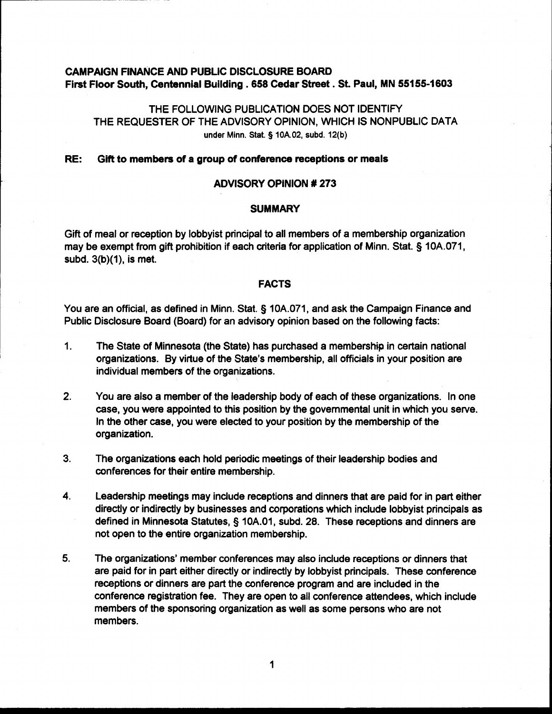# **CAMPAIGN FINANCE AND PUBLIC DISCLOSURE BOARD First Floor South, Centennial Building .658 Cedar Street. St. Paul, MN 55155-1603**

# THE FOLLOWING PUBLICATION DOES NOT IDENTIFY THE REQUESTER OF THE ADVISORY OPINION, WHICH IS NONPUBLIC DATA **under Minn.** Stat. § **lOA.02, subd. 12(b)**

## **RE: Gift to members of a group of conference receptions or meals**

## **ADVISORY OPINION** # **273**

# **I** SUMMARY **SUMMARY**

Gift of meal or reception by lobbyist principal to all members of a membership organization may be exempt from gift prohibition if each criteria for application of Minn. Stat. § 10A.071, subd.  $3(b)(1)$ , is met.

## **FACTS**

You are an official, as defined in Minn. Stat. § 10A.071, and ask the Campaign Finance and Public Disclosure Board (Board) for an advisory opinion based on the following facts:

- 1. The State of Minnesota (the State) has purchased a membershtp in certain national organizations. By virtue of the State's membership, all officials in your position are individual members of the organizations.
- **2.** You are also a member of the leadership body of each of these organizations. In one case, you were appointed to this position by the governmental unit in which you serve. In the other case, you were elected to your position by the membership of the organization.
- 3. The organizations each hold periodic meetings of their leadership bodies and conferences for their entire membership.
- **4.** Leadership meetings may include receptions and dinners that are paid for in part either directly or indirectly by businesses and corporations which include lobbyist principals as defined in Minnesota Statutes, 5 10A.01, subd. 28. These receptions and dinners are not open to the entire organization membership.
- **5.** The organizations' member conferences may also include receptions or dinners that are paid for in part either directly or indirectly by lobbyist principals. These conference receptions or dinners are part the conference program and are included in the conference registration fee. They are open to all conference attendees, which include members of the sponsoring organization as well as some persons who are not members.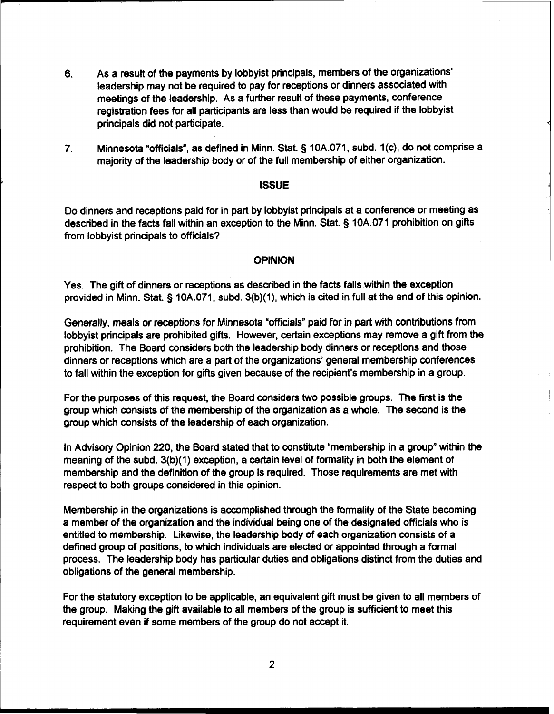- **6.** As a result of the payments by lobbyist principals, members of the organizations' leadership may not be required to pay for receptions or dinners associated with meetings of the leadership. As a further result of these payments, conference registration fees for all participants are less than would be required if the lobbyist principals did not participate.
- 7. Minnesota "officials", as defined in Minn. Stat. § 10A.071, subd. 1(c), do not comprise a majority of the leadership body or of the full membership of either organization.

## **ISSUE**

Do dinners and receptions paid for in part by lobbyist principals at a conference or meeting as described in the facts fall within an exception to the Minn. Stat. § 10A.071 prohibition on gifts from lobbyist principals to officials?

#### **OPINION**

Yes. The gift of dinners or receptions as described in the facts falls within the exception provided in Minn. Stat. § 10A.071, subd. 3(b)(1), which is cited in full at the end of this opinion.

Generally, meals or receptions for Minnesota "officials" paid for in part with contributions from lobbyist principals are prohibited gifts. However, certain exceptions may remove a gift from the prohibition. The Board considers both the leadership body dinners or receptions and those dinners or receptions which are a part of the organizations' general membership conferences to fall within the exception for gifts given because of the recipient's membership in a group.

For the purposes of this request, the Board considers two possible groups. The first is the group which consists of the membership of the organization as a whole. The second is the group which consists of the leadership of each organization.

In Advisory Opinion 220, the Board stated that to constitute "membership in a group" within the meaning of the subd. 3(b)(1) exception, a certain level of formality in both the element of membership and the definition of the group is required. Those requirements are met with respect to both groups considered in this opinion.

Membership in the organizations is accomplished through the formality of the State becoming a member of the organization and the individual being one of the designated officials who is entitled to membership. Likewise, the leadership body of each organization consists of a defined group of positions, to which individuals are elected or appointed through a formal process. The leadership body has particular duties and obligations distinct from the duties and obligations of the general membership.

For the statutory exception to be applicable, an equivalent gift must be given to all members of the group. Making the gift available to all members of the group is sufficient to meet this requirement even if some members of the group do not accept it.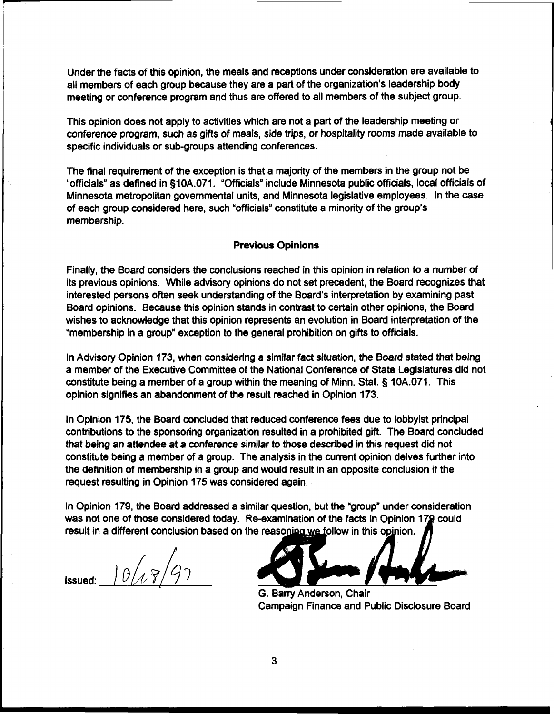Under the facts of this opinion, the meals and receptions under consideration are available to all members of each group because they are a part of the organization's leadership body meeting or conference program and thus are offered to all members of the subject group.

This opinion does not apply to activities which are not a part of the leadership meeting or conference program, such as gifts of meals, side trips, or hospitality rooms made available to specific individuals or sub-groups attending conferences.

The final requirement of the exception is that a majority of the members in the group not be "officials" as defined in §10A.071. "Officials" include Minnesota public officials, local officials of Minnesota metropolitan governmental units, and Minnesota legislative employees. In the case of each group considered here, such "officials" constitute a minority of the group's membership.

#### Previous Opinions

Finally, the Board considers the conclusions reached in this opinion in relation to a number of its previous opinions. While advisory opinions do not set precedent, the Board recognizes that interested persons often seek understanding of the Board's interpretation by examining past Board opinions. Because this opinion stands in contrast to certain other opinions, the Board wishes to acknowledge that this opinion represents an evolution in Board interpretation of the "membership in a group" exception to the general prohibition on gifts to officials.

In Advisory Opinion 173, when considering a similar fact situation, the Board stated that being a member of the Executive Committee of the National Conference of State Legislatures did not constitute being a member of a group within the meaning of Minn. Stat. § 10A.071. This opinion signifies an abandonment of the result reached in Opinion 173.

In Opinion 175, the Board concluded that reduced conference fees due to lobbyist principal contributions to the sponsoring organization resulted in a prohibited gift. The Board concluded that being an attendee at a conference similar to those described in this request did not constitute being a member of a group. The analysis in the current opinion delves further into the definition of membership in a group and would result in an opposite conclusion if the request resulting in Opinion 175 was considered again.

In Opinion 179, the Board addressed a similar question, but the "group" under consideration was not one of those considered today. Re-examination of the facts in Opinion 179 could result in a different conclusion based on the reasoning we follow in this opinion.

 $1017/97$ Issued:

G. Barry Anderson, Chair Campaign Finance and Public Disclosure Board